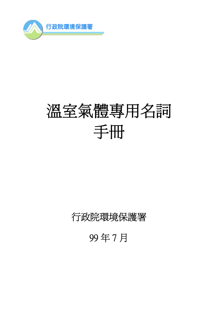

# 溫室氣體專用名詞 手冊

# 行政院環境保護署

99 年 7 月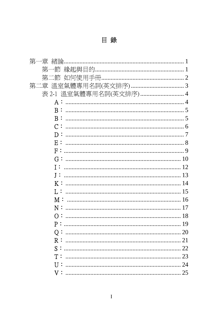目錄

| 第 |                  |                        |
|---|------------------|------------------------|
|   | 第一節              |                        |
|   | 第二節              |                        |
|   |                  |                        |
|   |                  | 表 2-1 溫室氣體專用名詞(英文排序) 4 |
|   |                  |                        |
|   |                  |                        |
|   | B:               |                        |
|   |                  |                        |
|   |                  |                        |
|   | E:               |                        |
|   | F:               |                        |
|   |                  |                        |
|   | <b>T :</b>       |                        |
|   | <b>I :</b>       |                        |
|   |                  |                        |
|   | $\mathbf{L}$ :   |                        |
|   | M:               |                        |
|   | N:               |                        |
|   | $\overline{O}$ : |                        |
|   | P:               |                        |
|   |                  |                        |
|   | R:               |                        |
|   |                  |                        |
|   | ፐ :              |                        |
|   | U :              |                        |
|   |                  |                        |
|   | ${\rm v}$ :      |                        |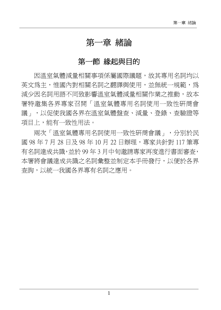#### 第一章 緒論

#### 第一節 綠起與目的

因溫室氣體減量相關事項係屬國際議題,故其專用名詞均以 英文為主,惟國內對相關名詞之翻譯與使用,並無統一規範,為 減少因名詞用語不同致影響溫室氣體減量相關作業之推動,故本 署特邀集各界專家召開「溫室氣體專用名詞使用一致性研商會 議」,以促使我國各界在溫室氣體盤查、減量、登錄、查驗證等 項目上,能有一致性用法。

兩次「溫室氣體專用名詞使用一致性研商會議」,分別於民 國 98年7月 28日及 98年 10日 22 日辦理,專家共針對 117 筆重 有名詞達成共識,並於 99 年 3 月中旬邀請專家再度進行書面審查, 本署將會議達成共識之名詞彙整並制定本手冊發行,以便於各界 查詢,以統一我國各界專有名詞之應用。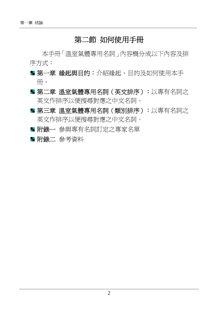#### 第二節 如何使用手冊

本手冊「溫室氣體專用名詞」內容概分成以下內容及排 序方式:

- 第一章 緣起與目的:介紹緣起、目的及如何使用本手 冊。
- 第二章 溫室氣體專用名詞(英文排序):以專有名詞之 英文作排序以便搜尋對應之中文名詞。
- 第三章 溫室氣體專用名詞(類別排序):以專有名詞之 英文作排序以便搜尋對應之中文名詞。
- ■附錄一 參與專有名詞訂定之專家名單
- 附錄二 參考資料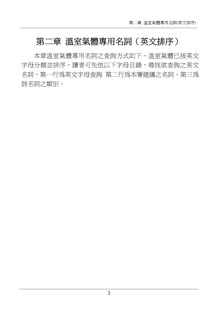# 第二章 溫室氣體專用名詞(英文排序)

本章溫室氣體專用名詞之查詢方式如下,溫室氣體已按英文 字母分類並排序,讀者可先依以下字母目錄,尋找欲杳詢之英文 名詞,第一行為英文字母查詢 第二行為本署建議之名詞,第三為 該名詞之類別。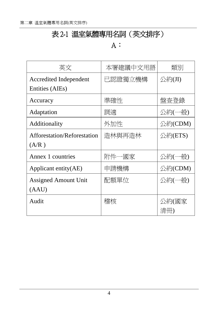# 表 2-1 溫室氣體專用名詞(英文排序)

#### $A$ :

| 英文                          | 本署建議中文用語 | 類別           |
|-----------------------------|----------|--------------|
| Accredited Independent      | 已認證獨立機構  | 公約(JI)       |
| Entities (AIEs)             |          |              |
| Accuracy                    | 準確性      | 盤査登錄         |
| Adaptation                  | 調適       | 公約(一般)       |
| Additionality               | 外加性      | 公約(CDM)      |
| Afforestation/Reforestation | 造林與再造林   | 公約(ETS)      |
| (A/R)                       |          |              |
| Annex 1 countries           | 附件一國家    | 公約(一般)       |
| Applicant entity(AE)        | 申請機構     | 公約(CDM)      |
| <b>Assigned Amount Unit</b> | 配額單位     | 公約(一般)       |
| (AAU)                       |          |              |
| Audit                       | 稽核       | 公約(國家<br>清冊) |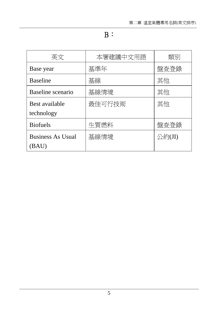B:

| 英文                       | 本署建議中文用語 | 類別     |
|--------------------------|----------|--------|
| Base year                | 基準年      | 盤査登錄   |
| <b>Baseline</b>          | 基線       | 其他     |
| Baseline scenario        | 基線情境     | 其他     |
| Best available           | 最佳可行技術   | 其他     |
| technology               |          |        |
| <b>Biofuels</b>          | 生質燃料     | 盤査登錄   |
| <b>Business As Usual</b> | 基線情境     | 公約(JI) |
| (BAU)                    |          |        |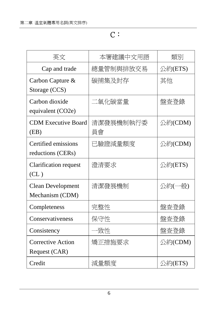# C:

| 英文                         | 本署建議中文用語  | 類別      |
|----------------------------|-----------|---------|
| Cap and trade              | 總量管制與排放交易 | 公約(ETS) |
| Carbon Capture &           | 碳捕集及封存    | 其他      |
| Storage (CCS)              |           |         |
| Carbon dioxide             | 二氧化碳當量    | 盤杳登錄    |
| equivalent (CO2e)          |           |         |
| <b>CDM Executive Board</b> | 清潔發展機制執行委 | 公約(CDM) |
| (EB)                       | 員會        |         |
| Certified emissions        | 已驗證減量額度   | 公約(CDM) |
| reductions (CERs)          |           |         |
| Clarification request      | 澄清要求      | 公約(ETS) |
| CL)                        |           |         |
| <b>Clean Development</b>   | 清潔發展機制    | 公約(一般)  |
| Mechanism (CDM)            |           |         |
| Completeness               | 完整性       | 盤杳登錄    |
| Conservativeness           | 保守性       | 盤杳登錄    |
| Consistency                | ·致性       | 盤杳登錄    |
| <b>Corrective Action</b>   | 矯正措施要求    | 公約(CDM) |
| Request (CAR)              |           |         |
| Credit                     | 減量額度      | 公約(ETS) |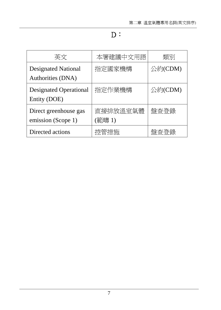### D:

| 英文                                              | 本署建議中文用語           | 類別      |
|-------------------------------------------------|--------------------|---------|
| <b>Designated National</b><br>Authorities (DNA) | 指定國家機構             | 公約(CDM) |
| <b>Designated Operational</b><br>Entity (DOE)   | 指定作業機構             | 公約(CDM) |
| Direct greenhouse gas<br>emission (Scope 1)     | 直接排放溫室氣體<br>(範疇 1) | 盤杳登錄    |
| Directed actions                                | 控管措施               | 盤杏谷綠    |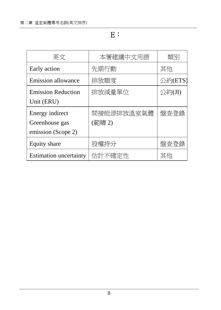E:

| 英文                            | 本署建議中文用語   | 類別      |
|-------------------------------|------------|---------|
| Early action                  | 先期行動       | 其他      |
| <b>Emission allowance</b>     | 排放額度       | 公約(ETS) |
| <b>Emission Reduction</b>     | 排放減量單位     | 公約(JI)  |
| Unit (ERU)                    |            |         |
| Energy indirect               | 間接能源排放溫室氣體 | 盤杳登錄    |
| Greenhouse gas                | (範疇 2)     |         |
| emission (Scope 2)            |            |         |
| Equity share                  | 股權持分       | 盤查登錄    |
| <b>Estimation uncertainty</b> | 估計不確定性     | 其他      |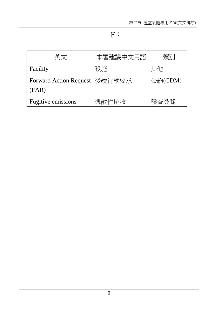F:

| 英文                            | 本署建議中文用語 | 類別      |
|-------------------------------|----------|---------|
| Facility                      | 設施       | 其他      |
| <b>Forward Action Request</b> | 後續行動要求   | 公約(CDM) |
| (FAR)                         |          |         |
| Fugitive emissions            | 逸散性排放    | 盤杳登錄    |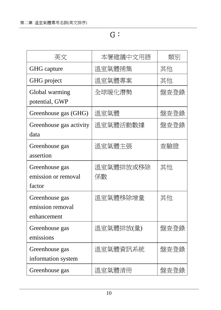G:

| 英文                                                | 本署建議中文用語        | 類別   |
|---------------------------------------------------|-----------------|------|
| <b>GHG</b> capture                                | 溫室氣體捕集          | 其他   |
| GHG project                                       | 溫室氣體專案          | 其他   |
| Global warming<br>potential, GWP                  | 全球暖化潛勢          | 盤杳登錄 |
| Greenhouse gas (GHG)                              | 溫室氣體            | 盤杳登錄 |
| Greenhouse gas activity<br>data                   | 溫室氣體活動數據        | 盤杳登錄 |
| Greenhouse gas<br>assertion                       | 溫室氣體主張          | 杳驗證  |
| Greenhouse gas<br>emission or removal<br>factor   | 溫室氣體排放或移除<br>係數 | 其他   |
| Greenhouse gas<br>emission removal<br>enhancement | 溫室氣體移除增量        | 其他   |
| Greenhouse gas<br>emissions                       | 溫室氣體排放(量)       | 盤杳登錄 |
| Greenhouse gas<br>information system              | 溫室氣體資訊系統        | 盤杳登錄 |
| Greenhouse gas                                    | 溫室氣體清冊          | 盤杳登錄 |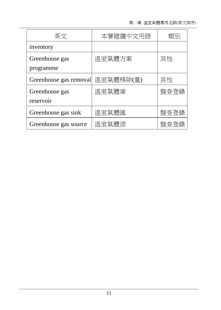| 英文                          | 本署建議中文用語  | 類別   |
|-----------------------------|-----------|------|
| inventory                   |           |      |
| Greenhouse gas<br>programme | 溫室氣體方案    | 其他   |
| Greenhouse gas removal      | 溫室氣體移除(量) | 其他   |
| Greenhouse gas<br>reservoir | 溫室氣體庫     | 盤查登錄 |
| Greenhouse gas sink         | 溫室氣體匯     | 盤杳登錄 |
| Greenhouse gas source       | 溫室氣體源     | 盤杳登錄 |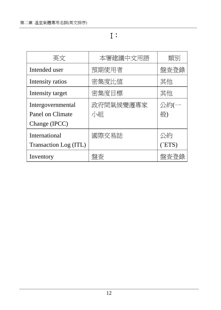I:

| 英文                    | 本署建議中文用語  | 類別       |
|-----------------------|-----------|----------|
| Intended user         | 預期使用者     | 盤査登錄     |
| Intensity ratios      | 密集度比值     | 其他       |
| Intensity target      | 密集度目標     | 其他       |
| Intergovernmental     | 政府間氣候變遷專家 | 公約(一     |
| Panel on Climate      | 小組        | 般)       |
| Change (IPCC)         |           |          |
| International         | 國際交易誌     | 公約       |
| Transaction Log (ITL) |           | $($ ETS) |
| Inventory             | 般杏        | 盤杳登錄     |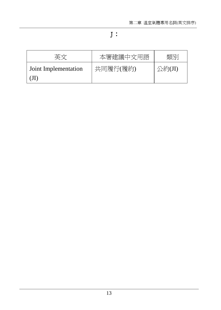#### J:

|                      | 本署建議中文用語 | 相当     |
|----------------------|----------|--------|
| Joint Implementation | 共同履行(履約) | 公約(JI) |
|                      |          |        |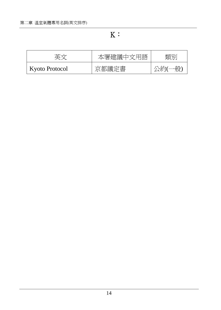$K:$ 

| 英文             | 本署建議中文用語 | 類別     |
|----------------|----------|--------|
| Kyoto Protocol | 京都議定書    | 公約(一般) |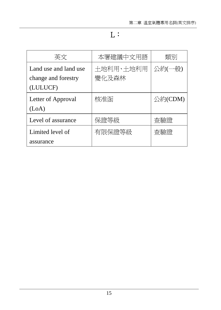# L:

| 英文                                                       | 本署建議中文用語           | 類別      |
|----------------------------------------------------------|--------------------|---------|
| Land use and land use<br>change and forestry<br>(LULUCF) | 土地利用、土地利用<br>變化及森林 | 公約(一般)  |
| Letter of Approval<br>(LoA)                              | 核准函                | 公約(CDM) |
| Level of assurance                                       | 保證等級               | 杳驗證     |
| Limited level of<br>assurance                            | 有限保證等級             | 杳驗證     |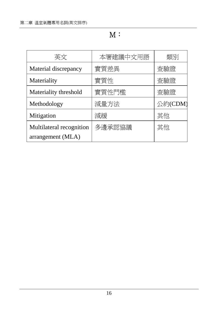#### M:

| 本署建議中文用語 | 類別      |
|----------|---------|
| 實質差異     | 査驗證     |
| 實質性      | 査驗證     |
| 實質性門檻    | 杳驗證     |
| 減量方法     | 公約(CDM) |
| 減緩       | 其他      |
| 多邊承認協議   | 其他      |
|          |         |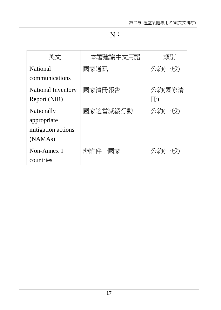#### N:

| 英文                        | 本署建議中文用語 | 類別     |
|---------------------------|----------|--------|
| National                  | 國家通訊     | 公約(一般) |
| communications            |          |        |
| <b>National Inventory</b> | 國家清冊報告   | 公約(國家清 |
| Report (NIR)              |          | 冊)     |
| Nationally                | 國家適當減緩行動 | 公約(一般) |
| appropriate               |          |        |
| mitigation actions        |          |        |
| (NAMA <sub>s</sub> )      |          |        |
| Non-Annex 1               | 非附件一國家   | 公約(一般) |
| countries                 |          |        |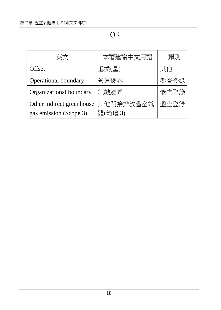# O:

| 英文                        | 本署建議中文用語  | 類別   |
|---------------------------|-----------|------|
| Offset                    | 抵換(量)     | 其他   |
| Operational boundary      | 營運邊界      | 盤杳登錄 |
| Organizational boundary   | 組織邊界      | 盤杳登錄 |
| Other indirect greenhouse | 其他間接排放溫室氣 | 盤杳登錄 |
| gas emission (Scope 3)    | 體(範疇 3)   |      |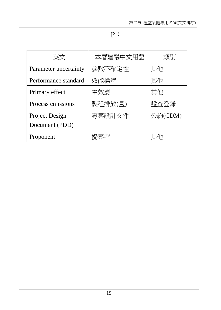#### P:

| 英文                               | 本署建議中文用語 | 類別      |
|----------------------------------|----------|---------|
| Parameter uncertainty            | 參數不確定性   | 其他      |
| Performance standard             | 效能標準     | 其他      |
| Primary effect                   | 主效應      | 其他      |
| Process emissions                | 製程排放(量)  | 盤杳登錄    |
| Project Design<br>Document (PDD) | 專案設計文件   | 公約(CDM) |
| Proponent                        | 提案者      | 其他      |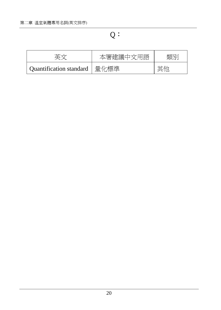$Q:$ 

|                                | 本署建議中文用語 | 公司方门 |
|--------------------------------|----------|------|
| Quantification standard   量化標準 |          |      |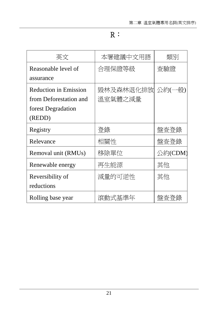# R:

| 英文                           | 本署建議中文用語  | 類別      |
|------------------------------|-----------|---------|
| Reasonable level of          | 合理保證等級    | 査驗證     |
| assurance                    |           |         |
| <b>Reduction in Emission</b> | 毀林及森林退化排放 | 公約(一般)  |
| from Deforestation and       | 溫室氣體之減量   |         |
| forest Degradation           |           |         |
| (REDD)                       |           |         |
| Registry                     | 登錄        | 盤杳登錄    |
| Relevance                    | 相關性       | 盤査登錄    |
| Removal unit (RMUs)          | 移除單位      | 公約(CDM) |
| Renewable energy             | 再生能源      | 其他      |
| Reversibility of             | 減量的可逆性    | 其他      |
| reductions                   |           |         |
| Rolling base year            | 滾動式基準年    | 盤杳登錄    |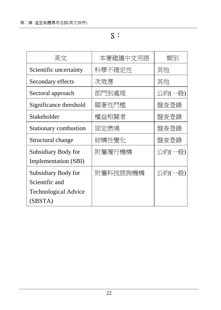S:

| 英文                          | 本署建議中文用語 | 類別     |
|-----------------------------|----------|--------|
| Scientific uncertainty      | 科學不確定性   | 其他     |
| Secondary effects           | 次效應      | 其他     |
| Sectoral approach           | 部門別處理    | 公約(一般) |
| Significance threshold      | 顯著性門檻    | 盤査登錄   |
| Stakeholder                 | 權益相關者    | 盤杳登錄   |
| Stationary combustion       | 固定燃燒     | 盤杳登錄   |
| Structural change           | 結構性變化    | 盤杳登錄   |
| Subsidiary Body for         | 附屬履行機構   | 公約(一般) |
| Implementation (SBI)        |          |        |
| Subsidiary Body for         | 附屬科技諮詢機構 | 公約(一般) |
| Scientific and              |          |        |
| <b>Technological Advice</b> |          |        |
| (SBSTA)                     |          |        |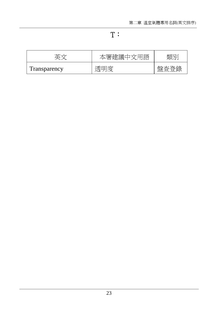#### T:

|              | 詒 | - |
|--------------|---|---|
| Transparency |   |   |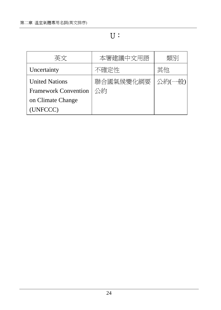#### U:

| 英文                          | 本署建議中文用語  | 雄別     |
|-----------------------------|-----------|--------|
| Uncertainty                 | 不確定性      | 其他     |
| <b>United Nations</b>       | 聯合國氣候變化綱要 | 公約(一般) |
| <b>Framework Convention</b> | 公約        |        |
| on Climate Change           |           |        |
| (UNFCCC)                    |           |        |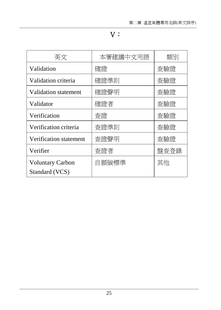#### V:

| 英文                                        | 本署建議中文用語 | 類別   |
|-------------------------------------------|----------|------|
| Validation                                | 確證       | 杳驗證  |
| Validation criteria                       | 確證準則     | 査驗證  |
| Validation statement                      | 確證聲明     | 杳驗證  |
| Validator                                 | 確證者      | 杳驗證  |
| Verification                              | 杳證       | 杳驗證  |
| Verification criteria                     | 査證準則     | 杳驗證  |
| Verification statement                    | 査證聲明     | 杳驗證  |
| Verifier                                  | 査證者      | 盤査登錄 |
| <b>Voluntary Carbon</b><br>Standard (VCS) | 自願碳標準    | 其他   |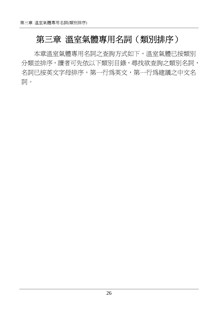# 第三章 溫室氣體專用名詞(類別排序)

本章溫室氣體專用名詞之查詢方式如下,溫室氣體已按類別 分類並排序,讀者可先依以下類別目錄,尋找欲查詢之類別名詞, 名詞已按英文字母排序,第一行為英文,第一行為建議之中文名 詞。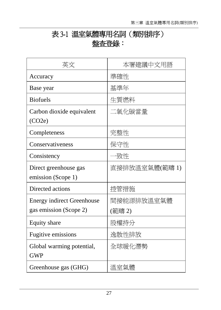# 表 3-1 溫室氣體專用名詞(類別排序) 盤查登錄:

| 英文                                | 本署建議中文用語       |
|-----------------------------------|----------------|
| Accuracy                          | 準確性            |
| Base year                         | 基準年            |
| <b>Biofuels</b>                   | 生質燃料           |
| Carbon dioxide equivalent         | 二氧化碳當量         |
| (CO2e)                            |                |
| Completeness                      | 完整性            |
| Conservativeness                  | 保守性            |
| Consistency                       | ·致性            |
| Direct greenhouse gas             | 直接排放溫室氣體(範疇 1) |
| emission (Scope 1)                |                |
| Directed actions                  | 控管措施           |
| <b>Energy indirect Greenhouse</b> | 間接能源排放溫室氣體     |
| gas emission (Scope 2)            | (範疇 2)         |
| Equity share                      | 股權持分           |
| Fugitive emissions                | 逸散性排放          |
| Global warming potential,         | 全球暖化潛勢         |
| <b>GWP</b>                        |                |
| Greenhouse gas (GHG)              | 溫室氣體           |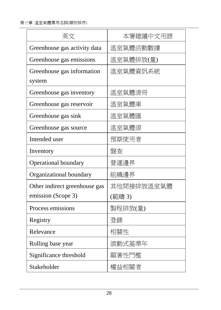| 英文                            | 本署建議中文用語   |
|-------------------------------|------------|
| Greenhouse gas activity data  | 溫室氣體活動數據   |
| Greenhouse gas emissions      | 溫室氣體排放(量)  |
| Greenhouse gas information    | 溫室氣體資訊系統   |
| system                        |            |
| Greenhouse gas inventory      | 溫室氣體清冊     |
| Greenhouse gas reservoir      | 溫室氣體庫      |
| Greenhouse gas sink           | 溫室氣體匯      |
| Greenhouse gas source         | 溫室氣體源      |
| Intended user                 | 預期使用者      |
| Inventory                     | 盤査         |
| <b>Operational boundary</b>   | 營運邊界       |
| Organizational boundary       | 組織邊界       |
| Other indirect greenhouse gas | 其他間接排放溫室氣體 |
| emission (Scope 3)            | (範疇 3)     |
| Process emissions             | 製程排放(量)    |
| Registry                      | 登錄         |
| Relevance                     | 相關性        |
| Rolling base year             | 滾動式基準年     |
| Significance threshold        | 顯著性門檻      |
| Stakeholder                   | 權益相關者      |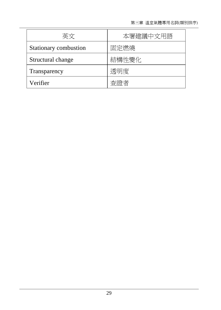| 英文                    | 本署建議中文用語 |
|-----------------------|----------|
| Stationary combustion | 固定燃燒     |
| Structural change     | 結構性變化    |
| Transparency          | 透明度      |
| Verifier              | 杳誇者      |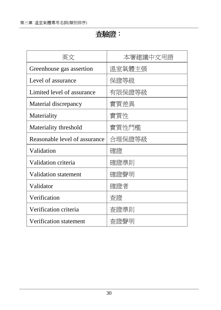#### 查驗證:

| 英文                            | 本署建議中文用語 |
|-------------------------------|----------|
| Greenhouse gas assertion      | 溫室氣體主張   |
| Level of assurance            | 保證等級     |
| Limited level of assurance    | 有限保證等級   |
| Material discrepancy          | 實質差異     |
| Materiality                   | 實質性      |
| Materiality threshold         | 實質性門檻    |
| Reasonable level of assurance | 合理保證等級   |
| Validation                    | 確證       |
| Validation criteria           | 確證準則     |
| <b>Validation statement</b>   | 確證聲明     |
| Validator                     | 確證者      |
| Verification                  | 杳證       |
| Verification criteria         | 查證準則     |
| Verification statement        | 査證聲明     |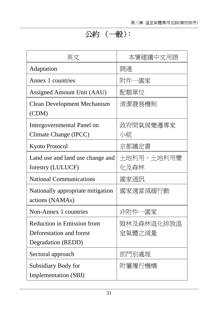# 公約 (一般):

| 英文                                                                                  | 本署建議中文用語             |
|-------------------------------------------------------------------------------------|----------------------|
| Adaptation                                                                          | 調適                   |
| Annex 1 countries                                                                   | 附件一國家                |
| Assigned Amount Unit (AAU)                                                          | 配額單位                 |
| <b>Clean Development Mechanism</b><br>(CDM)                                         | 清潔發展機制               |
| Intergovernmental Panel on<br>Climate Change (IPCC)                                 | 政府間氣候變遷專家<br>小組      |
| Kyoto Protocol                                                                      | 京都議定書                |
| Land use and land use change and<br>forestry (LULUCF)                               | 土地利用、土地利用變<br>化及森林   |
| <b>National Communications</b>                                                      | 國家通訊                 |
| Nationally appropriate mitigation<br>actions (NAMAs)                                | 國家適當減緩行動             |
| Non-Annex 1 countries                                                               | 非附件一國家               |
| <b>Reduction in Emission from</b><br>Deforestation and forest<br>Degradation (REDD) | 毀林及森林退化排放溫<br>室氣體之減量 |
| Sectoral approach                                                                   | 部門別處理                |
| Subsidiary Body for<br>Implementation (SBI)                                         | 附屬履行機構               |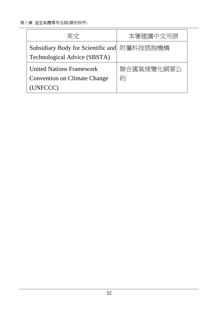| 英文                                 | 本署建議中文用語   |
|------------------------------------|------------|
| Subsidiary Body for Scientific and | 附屬科技諮詢機構   |
| Technological Advice (SBSTA)       |            |
| <b>United Nations Framework</b>    | 聯合國氣候變化綱要公 |
| Convention on Climate Change       | 約          |
| (UNFCCC)                           |            |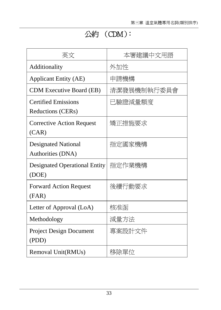# 公約 (CDM):

| 英文                                              | 本署建議中文用語    |
|-------------------------------------------------|-------------|
| Additionality                                   | 外加性         |
| <b>Applicant Entity (AE)</b>                    | 申請機構        |
| <b>CDM</b> Executive Board (EB)                 | 清潔發展機制執行委員會 |
| <b>Certified Emissions</b><br>Reductions (CERs) | 已驗證減量額度     |
| <b>Corrective Action Request</b><br>(CAR)       | 矯正措施要求      |
| <b>Designated National</b><br>Authorities (DNA) | 指定國家機構      |
| <b>Designated Operational Entity</b><br>(DOE)   | 指定作業機構      |
| <b>Forward Action Request</b><br>(FAR)          | 後續行動要求      |
| Letter of Approval (LoA)                        | 核准函         |
| Methodology                                     | 減量方法        |
| <b>Project Design Document</b><br>(PDD)         | 專案設計文件      |
| Removal Unit(RMUs)                              | 移除單位        |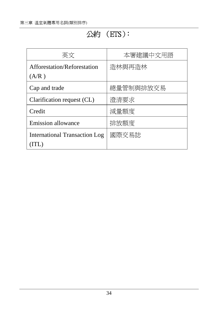# 公約 (ETS):

| 英文                                   | 本署建議中文用語  |
|--------------------------------------|-----------|
| Afforestation/Reforestation          | 浩林與再浩林    |
| (A/R)                                |           |
| Cap and trade                        | 總量管制與排放交易 |
| Clarification request (CL)           | 澄清要求      |
| Credit                               | 減量額度      |
| <b>Emission allowance</b>            | 排放額度      |
| <b>International Transaction Log</b> | 國際交易誌     |
| TTL)                                 |           |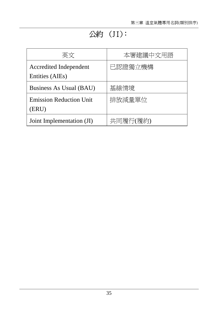# 公約 (JI):

| 英文                                        | 本署建議中文用語 |
|-------------------------------------------|----------|
| Accredited Independent<br>Entities (AIEs) | 已認證獨立機構  |
| Business As Usual (BAU)                   | 基線情境     |
| <b>Emission Reduction Unit</b><br>(ERU)   | 排放減量單位   |
| Joint Implementation (JI)                 | 共同履行(履約) |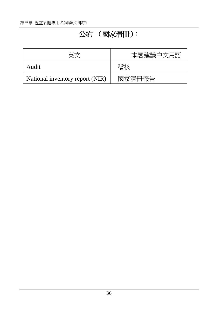# 公約 (國家清冊):

| 亜ベ                              | 本署建議中文用語 |
|---------------------------------|----------|
| Audit                           | 楷杉       |
| National inventory report (NIR) | 國家清冊報告   |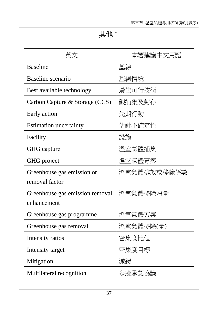# 其他:

| 英文                              | 本署建議中文用語    |
|---------------------------------|-------------|
| <b>Baseline</b>                 | 基線          |
| Baseline scenario               | 基線情境        |
| Best available technology       | 最佳可行技術      |
| Carbon Capture & Storage (CCS)  | 碳捕集及封存      |
| Early action                    | 先期行動        |
| <b>Estimation uncertainty</b>   | 估計不確定性      |
| Facility                        | 設施          |
| GHG capture                     | 溫室氣體捕集      |
| GHG project                     | 溫室氣體專案      |
| Greenhouse gas emission or      | 溫室氣體排放或移除係數 |
| removal factor                  |             |
| Greenhouse gas emission removal | 溫室氣體移除增量    |
| enhancement                     |             |
| Greenhouse gas programme        | 溫室氣體方案      |
| Greenhouse gas removal          | 溫室氣體移除(量)   |
| Intensity ratios                | 密集度比値       |
| Intensity target                | 密集度目標       |
| Mitigation                      | 減緩          |
| Multilateral recognition        | 多邊承認協議      |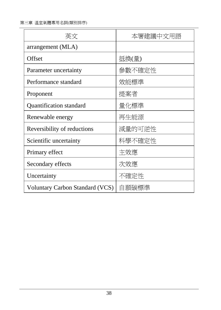第三章 溫室氣體專用名詞(類別排序)

| 英文                              | 本署建議中文用語 |
|---------------------------------|----------|
| arrangement (MLA)               |          |
| Offset                          | 抵換(量)    |
| Parameter uncertainty           | 參數不確定性   |
| Performance standard            | 效能標準     |
| Proponent                       | 提案者      |
| Quantification standard         | 量化標準     |
| Renewable energy                | 再生能源     |
| Reversibility of reductions     | 減量的可逆性   |
| Scientific uncertainty          | 科學不確定性   |
| Primary effect                  | 主效應      |
| Secondary effects               | 次效應      |
| Uncertainty                     | 不確定性     |
| Voluntary Carbon Standard (VCS) | 自願碳標準    |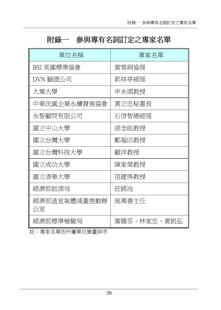# 附錄一 參與專有名詞訂定之專家名單

| 單位名稱               | 專家名單        |
|--------------------|-------------|
| BSI 英國標準協會         | 黃雪娟協理       |
| DVN 驗證公司           | 郭祥亭經理       |
| 大葉大學               | 申永順教授       |
| 中華民國企業永續發展協會       | 黃正忠秘書長      |
| 永智顧問有限公司           | 石信智總經理      |
| 國立中山大學             | 胡念祖教授       |
| 國立台灣大學             | 鄭福田教授       |
| 國立台灣科技大學           | 顧洋教授        |
| 國立成功大學             | 陳家榮教授       |
| 國立清華大學             | 范建得教授       |
| 經濟部能源局             | 莊銘池         |
| 經濟部溫室氣體減量推動辦<br>公室 | 侯萬善主任       |
| 經濟部標準檢驗局           | 葉薇芬、林家忠、黃凱弘 |

註:專家名單依所屬單位筆畫排序